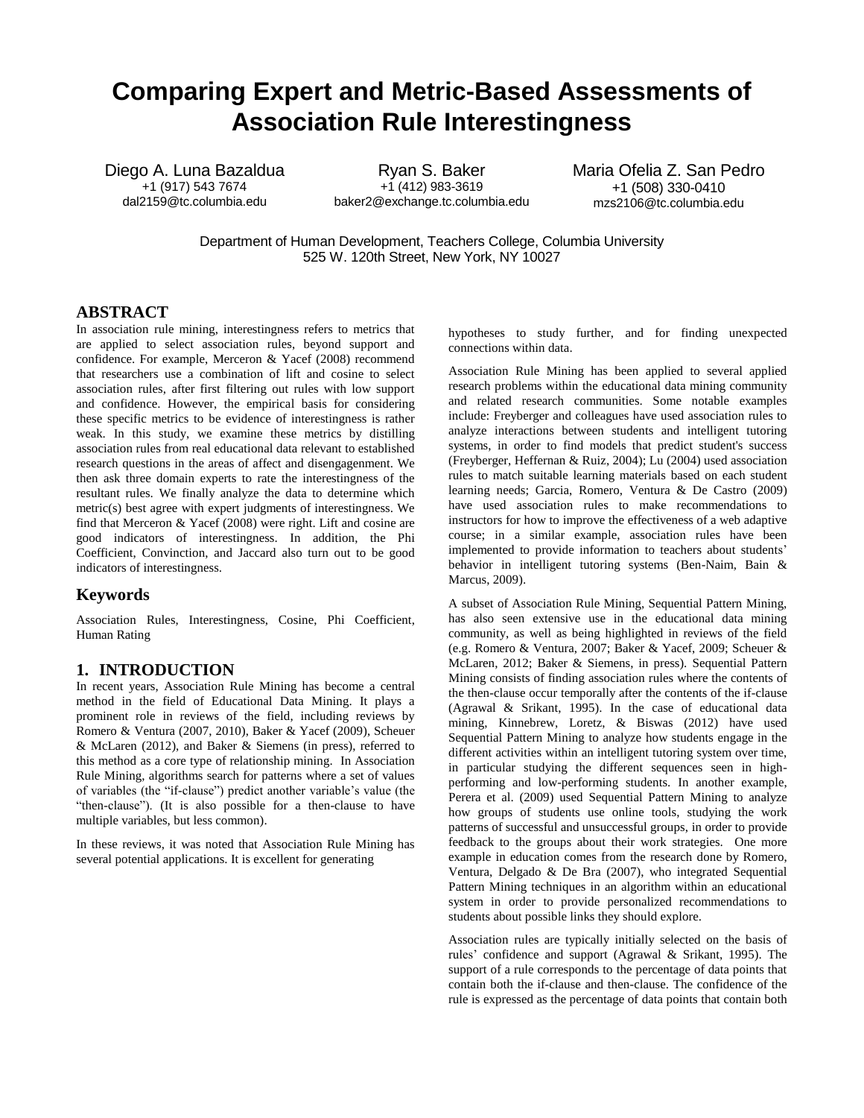# **Comparing Expert and Metric-Based Assessments of Association Rule Interestingness**

Diego A. Luna Bazaldua +1 (917) 543 7674 dal2159@tc.columbia.edu

Ryan S. Baker +1 (412) 983-3619 baker2@exchange.tc.columbia.edu Maria Ofelia Z. San Pedro +1 (508) 330-0410 mzs2106@tc.columbia.edu

Department of Human Development, Teachers College, Columbia University 525 W. 120th Street, New York, NY 10027

# **ABSTRACT**

In association rule mining, interestingness refers to metrics that are applied to select association rules, beyond support and confidence. For example, Merceron & Yacef (2008) recommend that researchers use a combination of lift and cosine to select association rules, after first filtering out rules with low support and confidence. However, the empirical basis for considering these specific metrics to be evidence of interestingness is rather weak. In this study, we examine these metrics by distilling association rules from real educational data relevant to established research questions in the areas of affect and disengagenment. We then ask three domain experts to rate the interestingness of the resultant rules. We finally analyze the data to determine which metric(s) best agree with expert judgments of interestingness. We find that Merceron & Yacef (2008) were right. Lift and cosine are good indicators of interestingness. In addition, the Phi Coefficient, Convinction, and Jaccard also turn out to be good indicators of interestingness.

# **Keywords**

Association Rules, Interestingness, Cosine, Phi Coefficient, Human Rating

#### **1. INTRODUCTION**

In recent years, Association Rule Mining has become a central method in the field of Educational Data Mining. It plays a prominent role in reviews of the field, including reviews by Romero & Ventura (2007, 2010), Baker & Yacef (2009), Scheuer & McLaren (2012), and Baker & Siemens (in press), referred to this method as a core type of relationship mining. In Association Rule Mining, algorithms search for patterns where a set of values of variables (the "if-clause") predict another variable's value (the "then-clause"). (It is also possible for a then-clause to have multiple variables, but less common).

In these reviews, it was noted that Association Rule Mining has several potential applications. It is excellent for generating

hypotheses to study further, and for finding unexpected connections within data.

Association Rule Mining has been applied to several applied research problems within the educational data mining community and related research communities. Some notable examples include: Freyberger and colleagues have used association rules to analyze interactions between students and intelligent tutoring systems, in order to find models that predict student's success (Freyberger, Heffernan & Ruiz, 2004); Lu (2004) used association rules to match suitable learning materials based on each student learning needs; Garcia, Romero, Ventura & De Castro (2009) have used association rules to make recommendations to instructors for how to improve the effectiveness of a web adaptive course; in a similar example, association rules have been implemented to provide information to teachers about students' behavior in intelligent tutoring systems (Ben-Naim, Bain & Marcus, 2009).

A subset of Association Rule Mining, Sequential Pattern Mining, has also seen extensive use in the educational data mining community, as well as being highlighted in reviews of the field (e.g. Romero & Ventura, 2007; Baker & Yacef, 2009; Scheuer & McLaren, 2012; Baker & Siemens, in press). Sequential Pattern Mining consists of finding association rules where the contents of the then-clause occur temporally after the contents of the if-clause (Agrawal & Srikant, 1995). In the case of educational data mining, Kinnebrew, Loretz, & Biswas (2012) have used Sequential Pattern Mining to analyze how students engage in the different activities within an intelligent tutoring system over time, in particular studying the different sequences seen in highperforming and low-performing students. In another example, Perera et al. (2009) used Sequential Pattern Mining to analyze how groups of students use online tools, studying the work patterns of successful and unsuccessful groups, in order to provide feedback to the groups about their work strategies. One more example in education comes from the research done by Romero, Ventura, Delgado & De Bra (2007), who integrated Sequential Pattern Mining techniques in an algorithm within an educational system in order to provide personalized recommendations to students about possible links they should explore.

Association rules are typically initially selected on the basis of rules' confidence and support (Agrawal & Srikant, 1995). The support of a rule corresponds to the percentage of data points that contain both the if-clause and then-clause. The confidence of the rule is expressed as the percentage of data points that contain both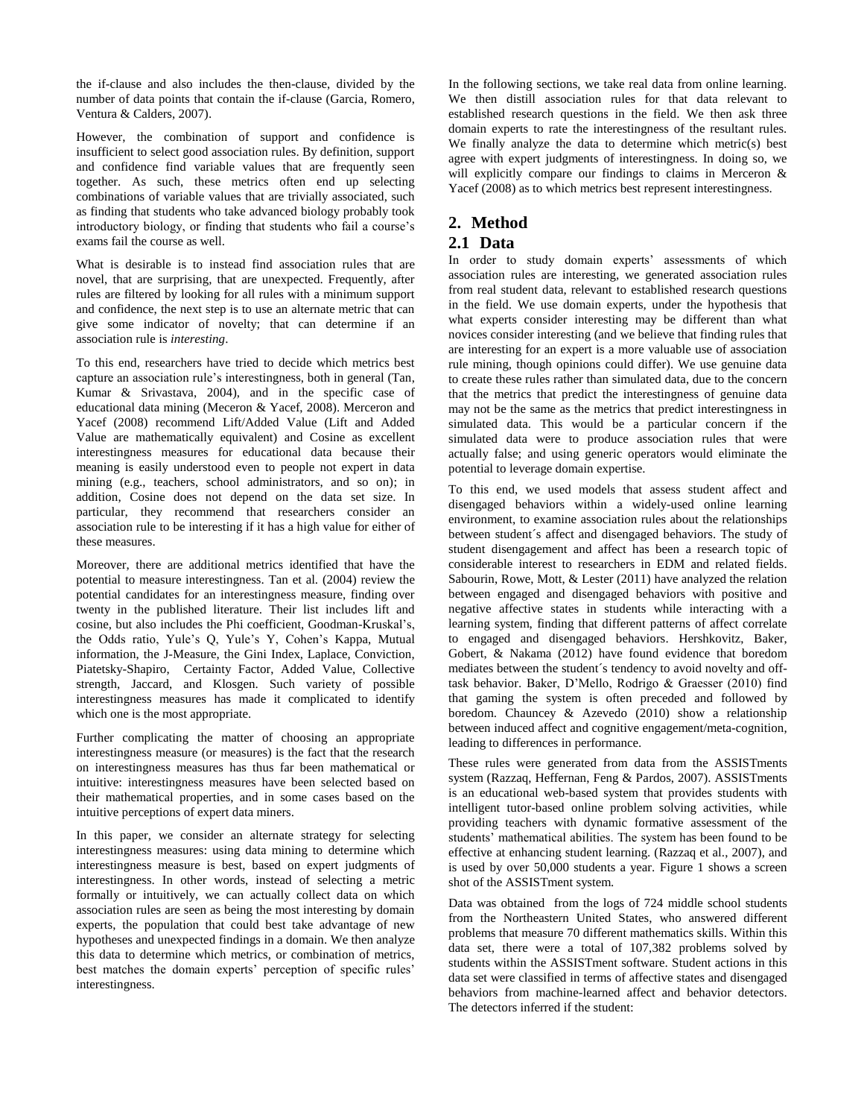the if-clause and also includes the then-clause, divided by the number of data points that contain the if-clause (Garcia, Romero, Ventura & Calders, 2007).

However, the combination of support and confidence is insufficient to select good association rules. By definition, support and confidence find variable values that are frequently seen together. As such, these metrics often end up selecting combinations of variable values that are trivially associated, such as finding that students who take advanced biology probably took introductory biology, or finding that students who fail a course's exams fail the course as well.

What is desirable is to instead find association rules that are novel, that are surprising, that are unexpected. Frequently, after rules are filtered by looking for all rules with a minimum support and confidence, the next step is to use an alternate metric that can give some indicator of novelty; that can determine if an association rule is *interesting*.

To this end, researchers have tried to decide which metrics best capture an association rule's interestingness, both in general (Tan, Kumar & Srivastava, 2004), and in the specific case of educational data mining (Meceron & Yacef, 2008). Merceron and Yacef (2008) recommend Lift/Added Value (Lift and Added Value are mathematically equivalent) and Cosine as excellent interestingness measures for educational data because their meaning is easily understood even to people not expert in data mining (e.g., teachers, school administrators, and so on); in addition, Cosine does not depend on the data set size. In particular, they recommend that researchers consider an association rule to be interesting if it has a high value for either of these measures.

Moreover, there are additional metrics identified that have the potential to measure interestingness. Tan et al. (2004) review the potential candidates for an interestingness measure, finding over twenty in the published literature. Their list includes lift and cosine, but also includes the Phi coefficient, Goodman-Kruskal's, the Odds ratio, Yule's Q, Yule's Y, Cohen's Kappa, Mutual information, the J-Measure, the Gini Index, Laplace, Conviction, Piatetsky-Shapiro, Certainty Factor, Added Value, Collective strength, Jaccard, and Klosgen. Such variety of possible interestingness measures has made it complicated to identify which one is the most appropriate.

Further complicating the matter of choosing an appropriate interestingness measure (or measures) is the fact that the research on interestingness measures has thus far been mathematical or intuitive: interestingness measures have been selected based on their mathematical properties, and in some cases based on the intuitive perceptions of expert data miners.

In this paper, we consider an alternate strategy for selecting interestingness measures: using data mining to determine which interestingness measure is best, based on expert judgments of interestingness. In other words, instead of selecting a metric formally or intuitively, we can actually collect data on which association rules are seen as being the most interesting by domain experts, the population that could best take advantage of new hypotheses and unexpected findings in a domain. We then analyze this data to determine which metrics, or combination of metrics, best matches the domain experts' perception of specific rules' interestingness.

In the following sections, we take real data from online learning. We then distill association rules for that data relevant to established research questions in the field. We then ask three domain experts to rate the interestingness of the resultant rules. We finally analyze the data to determine which metric(s) best agree with expert judgments of interestingness. In doing so, we will explicitly compare our findings to claims in Merceron & Yacef (2008) as to which metrics best represent interestingness.

# **2. Method**

# **2.1 Data**

In order to study domain experts' assessments of which association rules are interesting, we generated association rules from real student data, relevant to established research questions in the field. We use domain experts, under the hypothesis that what experts consider interesting may be different than what novices consider interesting (and we believe that finding rules that are interesting for an expert is a more valuable use of association rule mining, though opinions could differ). We use genuine data to create these rules rather than simulated data, due to the concern that the metrics that predict the interestingness of genuine data may not be the same as the metrics that predict interestingness in simulated data. This would be a particular concern if the simulated data were to produce association rules that were actually false; and using generic operators would eliminate the potential to leverage domain expertise.

To this end, we used models that assess student affect and disengaged behaviors within a widely-used online learning environment, to examine association rules about the relationships between student´s affect and disengaged behaviors. The study of student disengagement and affect has been a research topic of considerable interest to researchers in EDM and related fields. Sabourin, Rowe, Mott, & Lester (2011) have analyzed the relation between engaged and disengaged behaviors with positive and negative affective states in students while interacting with a learning system, finding that different patterns of affect correlate to engaged and disengaged behaviors. Hershkovitz, Baker, Gobert, & Nakama (2012) have found evidence that boredom mediates between the student´s tendency to avoid novelty and offtask behavior. Baker, D'Mello, Rodrigo & Graesser (2010) find that gaming the system is often preceded and followed by boredom. Chauncey & Azevedo (2010) show a relationship between induced affect and cognitive engagement/meta-cognition, leading to differences in performance.

These rules were generated from data from the ASSISTments system (Razzaq, Heffernan, Feng & Pardos, 2007). ASSISTments is an educational web-based system that provides students with intelligent tutor-based online problem solving activities, while providing teachers with dynamic formative assessment of the students' mathematical abilities. The system has been found to be effective at enhancing student learning. (Razzaq et al., 2007), and is used by over 50,000 students a year. Figure 1 shows a screen shot of the ASSISTment system.

Data was obtained from the logs of 724 middle school students from the Northeastern United States, who answered different problems that measure 70 different mathematics skills. Within this data set, there were a total of 107,382 problems solved by students within the ASSISTment software. Student actions in this data set were classified in terms of affective states and disengaged behaviors from machine-learned affect and behavior detectors. The detectors inferred if the student: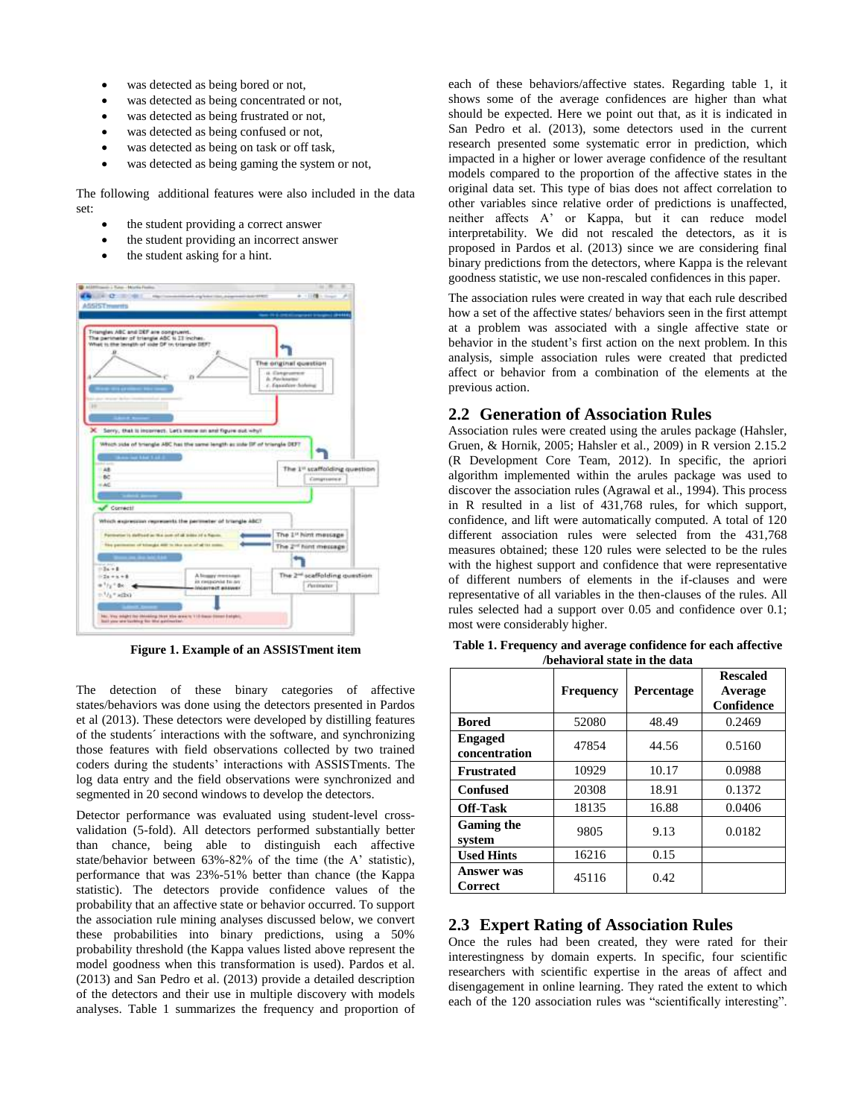- was detected as being bored or not,
- was detected as being concentrated or not,
- was detected as being frustrated or not,
- was detected as being confused or not,
- was detected as being on task or off task,
- was detected as being gaming the system or not,

The following additional features were also included in the data set:

- the student providing a correct answer
- the student providing an incorrect answer
- the student asking for a hint.



**Figure 1. Example of an ASSISTment item**

The detection of these binary categories of affective states/behaviors was done using the detectors presented in Pardos et al (2013). These detectors were developed by distilling features of the students´ interactions with the software, and synchronizing those features with field observations collected by two trained coders during the students' interactions with ASSISTments. The log data entry and the field observations were synchronized and segmented in 20 second windows to develop the detectors.

Detector performance was evaluated using student-level crossvalidation (5-fold). All detectors performed substantially better than chance, being able to distinguish each affective state/behavior between 63%-82% of the time (the A' statistic), performance that was 23%-51% better than chance (the Kappa statistic). The detectors provide confidence values of the probability that an affective state or behavior occurred. To support the association rule mining analyses discussed below, we convert these probabilities into binary predictions, using a 50% probability threshold (the Kappa values listed above represent the model goodness when this transformation is used). Pardos et al. (2013) and San Pedro et al. (2013) provide a detailed description of the detectors and their use in multiple discovery with models analyses. Table 1 summarizes the frequency and proportion of

each of these behaviors/affective states. Regarding table 1, it shows some of the average confidences are higher than what should be expected. Here we point out that, as it is indicated in San Pedro et al. (2013), some detectors used in the current research presented some systematic error in prediction, which impacted in a higher or lower average confidence of the resultant models compared to the proportion of the affective states in the original data set. This type of bias does not affect correlation to other variables since relative order of predictions is unaffected, neither affects A' or Kappa, but it can reduce model interpretability. We did not rescaled the detectors, as it is proposed in Pardos et al. (2013) since we are considering final binary predictions from the detectors, where Kappa is the relevant goodness statistic, we use non-rescaled confidences in this paper.

The association rules were created in way that each rule described how a set of the affective states/ behaviors seen in the first attempt at a problem was associated with a single affective state or behavior in the student's first action on the next problem. In this analysis, simple association rules were created that predicted affect or behavior from a combination of the elements at the previous action.

#### **2.2 Generation of Association Rules**

Association rules were created using the arules package (Hahsler, Gruen, & Hornik, 2005; Hahsler et al., 2009) in R version 2.15.2 (R Development Core Team, 2012). In specific, the apriori algorithm implemented within the arules package was used to discover the association rules (Agrawal et al., 1994). This process in R resulted in a list of 431,768 rules, for which support, confidence, and lift were automatically computed. A total of 120 different association rules were selected from the 431,768 measures obtained; these 120 rules were selected to be the rules with the highest support and confidence that were representative of different numbers of elements in the if-clauses and were representative of all variables in the then-clauses of the rules. All rules selected had a support over 0.05 and confidence over 0.1; most were considerably higher.

|                                 | <b>Frequency</b> | Percentage | <b>Rescaled</b><br>Average<br>Confidence |
|---------------------------------|------------------|------------|------------------------------------------|
| <b>Bored</b>                    | 52080            | 48.49      | 0.2469                                   |
| <b>Engaged</b><br>concentration | 47854            | 44.56      | 0.5160                                   |
| <b>Frustrated</b>               | 10929            | 10.17      | 0.0988                                   |
| <b>Confused</b>                 | 20308            | 18.91      | 0.1372                                   |
| <b>Off-Task</b>                 | 18135            | 16.88      | 0.0406                                   |
| <b>Gaming the</b><br>system     | 9805             | 9.13       | 0.0182                                   |
| <b>Used Hints</b>               | 16216            | 0.15       |                                          |
| Answer was<br>Correct           | 45116            | 0.42       |                                          |

**Table 1. Frequency and average confidence for each affective /behavioral state in the data**

# **2.3 Expert Rating of Association Rules**

Once the rules had been created, they were rated for their interestingness by domain experts. In specific, four scientific researchers with scientific expertise in the areas of affect and disengagement in online learning. They rated the extent to which each of the 120 association rules was "scientifically interesting".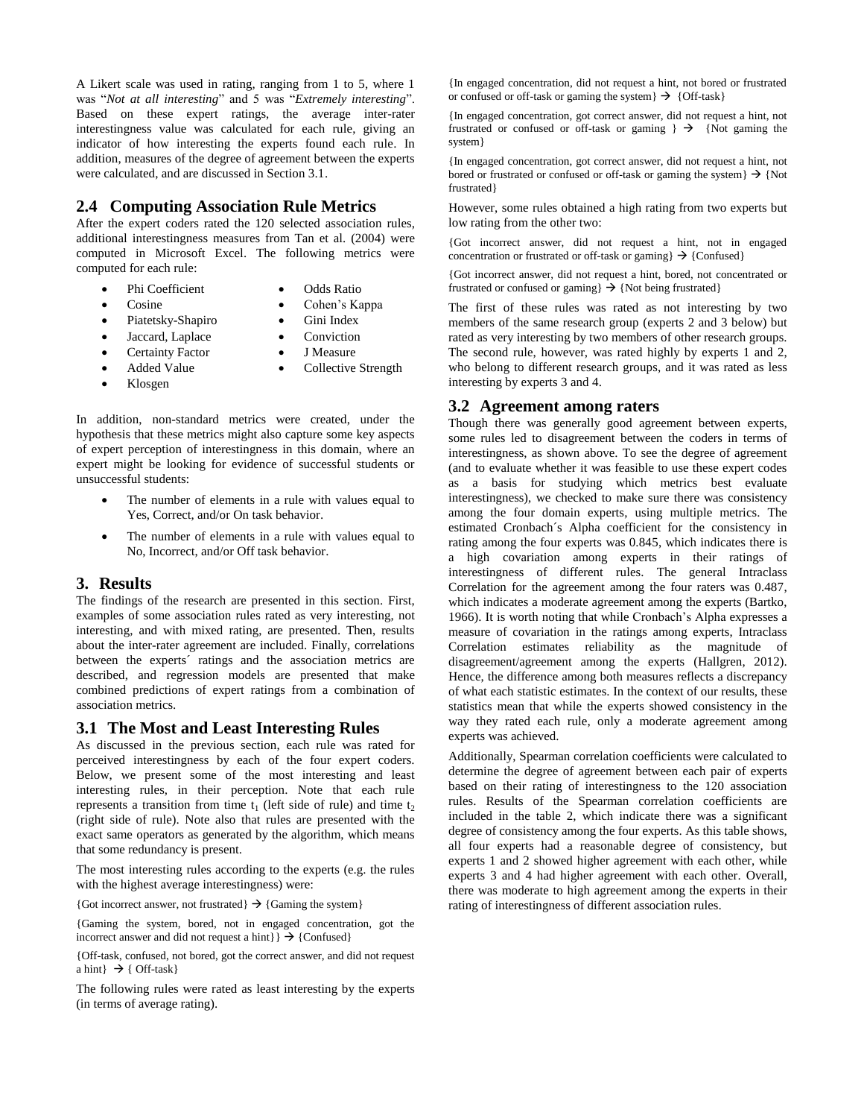A Likert scale was used in rating, ranging from 1 to 5, where 1 was "*Not at all interesting*" and 5 was "*Extremely interesting*". Based on these expert ratings, the average inter-rater interestingness value was calculated for each rule, giving an indicator of how interesting the experts found each rule. In addition, measures of the degree of agreement between the experts were calculated, and are discussed in Section 3.1.

#### **2.4 Computing Association Rule Metrics**

After the expert coders rated the 120 selected association rules, additional interestingness measures from Tan et al. (2004) were computed in Microsoft Excel. The following metrics were computed for each rule:

- Phi Coefficient
- Odds Ratio
- Cosine
- 
- Piatetsky-Shapiro
- Cohen's Kappa

J Measure

- 
- Jaccard, Laplace
- Gini Index Conviction
- 
- Certainty Factor Added Value
- Collective Strength
- Klosgen

In addition, non-standard metrics were created, under the hypothesis that these metrics might also capture some key aspects of expert perception of interestingness in this domain, where an expert might be looking for evidence of successful students or unsuccessful students:

- The number of elements in a rule with values equal to Yes, Correct, and/or On task behavior.
- The number of elements in a rule with values equal to No, Incorrect, and/or Off task behavior.

#### **3. Results**

The findings of the research are presented in this section. First, examples of some association rules rated as very interesting, not interesting, and with mixed rating, are presented. Then, results about the inter-rater agreement are included. Finally, correlations between the experts´ ratings and the association metrics are described, and regression models are presented that make combined predictions of expert ratings from a combination of association metrics.

#### **3.1 The Most and Least Interesting Rules**

As discussed in the previous section, each rule was rated for perceived interestingness by each of the four expert coders. Below, we present some of the most interesting and least interesting rules, in their perception. Note that each rule represents a transition from time  $t_1$  (left side of rule) and time  $t_2$ (right side of rule). Note also that rules are presented with the exact same operators as generated by the algorithm, which means that some redundancy is present.

The most interesting rules according to the experts (e.g. the rules with the highest average interestingness) were:

{Got incorrect answer, not frustrated}  $\rightarrow$  {Gaming the system}

{Gaming the system, bored, not in engaged concentration, got the incorrect answer and did not request a hint}  $\} \rightarrow$  {Confused}

{Off-task, confused, not bored, got the correct answer, and did not request a hint  $\} \rightarrow \{$  Off-task  $\}$ 

The following rules were rated as least interesting by the experts (in terms of average rating).

{In engaged concentration, did not request a hint, not bored or frustrated or confused or off-task or gaming the system  $\} \rightarrow \{Off\text{-task}\}\$ 

{In engaged concentration, got correct answer, did not request a hint, not frustrated or confused or off-task or gaming  $\} \rightarrow \{Not\; \text{gaming the}$ system}

{In engaged concentration, got correct answer, did not request a hint, not bored or frustrated or confused or off-task or gaming the system  $\} \rightarrow \{Not$ frustrated}

However, some rules obtained a high rating from two experts but low rating from the other two:

{Got incorrect answer, did not request a hint, not in engaged concentration or frustrated or off-task or gaming  $\} \rightarrow \{Confused\}$ 

{Got incorrect answer, did not request a hint, bored, not concentrated or frustrated or confused or gaming  $\} \rightarrow \{$  Not being frustrated $\}$ 

The first of these rules was rated as not interesting by two members of the same research group (experts 2 and 3 below) but rated as very interesting by two members of other research groups. The second rule, however, was rated highly by experts 1 and 2, who belong to different research groups, and it was rated as less interesting by experts 3 and 4.

# **3.2 Agreement among raters**

Though there was generally good agreement between experts, some rules led to disagreement between the coders in terms of interestingness, as shown above. To see the degree of agreement (and to evaluate whether it was feasible to use these expert codes as a basis for studying which metrics best evaluate interestingness), we checked to make sure there was consistency among the four domain experts, using multiple metrics. The estimated Cronbach´s Alpha coefficient for the consistency in rating among the four experts was 0.845, which indicates there is a high covariation among experts in their ratings of interestingness of different rules. The general Intraclass Correlation for the agreement among the four raters was 0.487, which indicates a moderate agreement among the experts (Bartko, 1966). It is worth noting that while Cronbach's Alpha expresses a measure of covariation in the ratings among experts, Intraclass Correlation estimates reliability as the magnitude of disagreement/agreement among the experts (Hallgren, 2012). Hence, the difference among both measures reflects a discrepancy of what each statistic estimates. In the context of our results, these statistics mean that while the experts showed consistency in the way they rated each rule, only a moderate agreement among experts was achieved.

Additionally, Spearman correlation coefficients were calculated to determine the degree of agreement between each pair of experts based on their rating of interestingness to the 120 association rules. Results of the Spearman correlation coefficients are included in the table 2, which indicate there was a significant degree of consistency among the four experts. As this table shows, all four experts had a reasonable degree of consistency, but experts 1 and 2 showed higher agreement with each other, while experts 3 and 4 had higher agreement with each other. Overall, there was moderate to high agreement among the experts in their rating of interestingness of different association rules.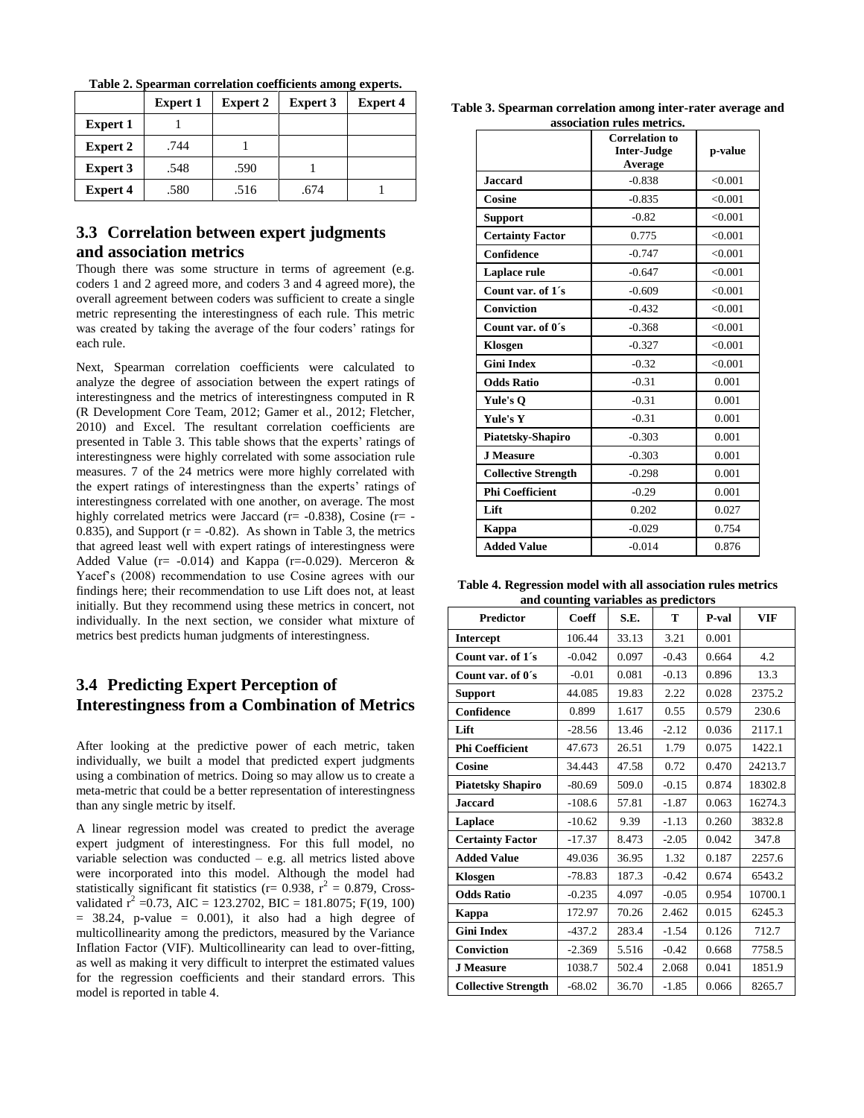|                 | <b>Expert 1</b> | <b>Expert 2</b> | <b>Expert 3</b> | <b>Expert 4</b> |
|-----------------|-----------------|-----------------|-----------------|-----------------|
| <b>Expert 1</b> |                 |                 |                 |                 |
| Expert 2        | .744            |                 |                 |                 |
| <b>Expert 3</b> | .548            | .590            |                 |                 |
| Expert 4        | .580            | .516            | .674            |                 |

**Table 2. Spearman correlation coefficients among experts.**

# **3.3 Correlation between expert judgments and association metrics**

Though there was some structure in terms of agreement (e.g. coders 1 and 2 agreed more, and coders 3 and 4 agreed more), the overall agreement between coders was sufficient to create a single metric representing the interestingness of each rule. This metric was created by taking the average of the four coders' ratings for each rule.

Next, Spearman correlation coefficients were calculated to analyze the degree of association between the expert ratings of interestingness and the metrics of interestingness computed in R (R Development Core Team, 2012; Gamer et al., 2012; Fletcher, 2010) and Excel. The resultant correlation coefficients are presented in Table 3. This table shows that the experts' ratings of interestingness were highly correlated with some association rule measures. 7 of the 24 metrics were more highly correlated with the expert ratings of interestingness than the experts' ratings of interestingness correlated with one another, on average. The most highly correlated metrics were Jaccard ( $r = -0.838$ ), Cosine ( $r = -1$ 0.835), and Support  $(r = -0.82)$ . As shown in Table 3, the metrics that agreed least well with expert ratings of interestingness were Added Value ( $r = -0.014$ ) and Kappa ( $r = -0.029$ ). Merceron & Yacef's (2008) recommendation to use Cosine agrees with our findings here; their recommendation to use Lift does not, at least initially. But they recommend using these metrics in concert, not individually. In the next section, we consider what mixture of metrics best predicts human judgments of interestingness.

### **3.4 Predicting Expert Perception of Interestingness from a Combination of Metrics**

After looking at the predictive power of each metric, taken individually, we built a model that predicted expert judgments using a combination of metrics. Doing so may allow us to create a meta-metric that could be a better representation of interestingness than any single metric by itself.

A linear regression model was created to predict the average expert judgment of interestingness. For this full model, no variable selection was conducted – e.g. all metrics listed above were incorporated into this model. Although the model had statistically significant fit statistics ( $r = 0.938$ ,  $r^2 = 0.879$ , Crossvalidated  $\vec{r}^2$  =0.73, AIC = 123.2702, BIC = 181.8075; F(19, 100)  $= 38.24$ , p-value  $= 0.001$ ), it also had a high degree of multicollinearity among the predictors, measured by the Variance Inflation Factor (VIF). Multicollinearity can lead to over-fitting, as well as making it very difficult to interpret the estimated values for the regression coefficients and their standard errors. This model is reported in table 4.

**Table 3. Spearman correlation among inter-rater average and association rules metrics.**

|                            | <b>Correlation to</b><br><b>Inter-Judge</b><br>Average | p-value |
|----------------------------|--------------------------------------------------------|---------|
| <b>Jaccard</b>             | $-0.838$                                               | < 0.001 |
| Cosine                     | $-0.835$                                               | < 0.001 |
| <b>Support</b>             | $-0.82$                                                | < 0.001 |
| <b>Certainty Factor</b>    | 0.775                                                  | < 0.001 |
| Confidence                 | $-0.747$                                               | < 0.001 |
| Laplace rule               | $-0.647$                                               | < 0.001 |
| Count var. of 1's          | $-0.609$                                               | < 0.001 |
| <b>Conviction</b>          | $-0.432$                                               | < 0.001 |
| Count var. of 0's          | $-0.368$                                               | < 0.001 |
| Klosgen                    | $-0.327$                                               | < 0.001 |
| <b>Gini Index</b>          | $-0.32$                                                | < 0.001 |
| <b>Odds Ratio</b>          | $-0.31$                                                | 0.001   |
| Yule's O                   | $-0.31$                                                | 0.001   |
| <b>Yule's Y</b>            | $-0.31$                                                | 0.001   |
| Piatetsky-Shapiro          | $-0.303$                                               | 0.001   |
| <b>J</b> Measure           | $-0.303$                                               | 0.001   |
| <b>Collective Strength</b> | $-0.298$                                               | 0.001   |
| <b>Phi Coefficient</b>     | $-0.29$                                                | 0.001   |
| Lift                       | 0.202                                                  | 0.027   |
| Kappa                      | $-0.029$                                               | 0.754   |
| <b>Added Value</b>         | $-0.014$                                               | 0.876   |

**Table 4. Regression model with all association rules metrics and counting variables as predictors**

| <b>Predictor</b>           | Coeff    | S.E.  | т       | P-val | VIF     |
|----------------------------|----------|-------|---------|-------|---------|
| <b>Intercept</b>           | 106.44   | 33.13 | 3.21    | 0.001 |         |
| Count var. of 1's          | $-0.042$ | 0.097 | $-0.43$ | 0.664 | 4.2     |
| Count var. of 0's          | $-0.01$  | 0.081 | $-0.13$ | 0.896 | 13.3    |
| <b>Support</b>             | 44.085   | 19.83 | 2.22    | 0.028 | 2375.2  |
| Confidence                 | 0.899    | 1.617 | 0.55    | 0.579 | 230.6   |
| Lift                       | $-28.56$ | 13.46 | $-2.12$ | 0.036 | 2117.1  |
| <b>Phi Coefficient</b>     | 47.673   | 26.51 | 1.79    | 0.075 | 1422.1  |
| Cosine                     | 34.443   | 47.58 | 0.72    | 0.470 | 24213.7 |
| <b>Piatetsky Shapiro</b>   | $-80.69$ | 509.0 | $-0.15$ | 0.874 | 18302.8 |
| <b>Jaccard</b>             | $-108.6$ | 57.81 | $-1.87$ | 0.063 | 16274.3 |
| Laplace                    | $-10.62$ | 9.39  | $-1.13$ | 0.260 | 3832.8  |
| <b>Certainty Factor</b>    | $-17.37$ | 8.473 | $-2.05$ | 0.042 | 347.8   |
| <b>Added Value</b>         | 49.036   | 36.95 | 1.32    | 0.187 | 2257.6  |
| Klosgen                    | $-78.83$ | 187.3 | $-0.42$ | 0.674 | 6543.2  |
| <b>Odds Ratio</b>          | $-0.235$ | 4.097 | $-0.05$ | 0.954 | 10700.1 |
| Kappa                      | 172.97   | 70.26 | 2.462   | 0.015 | 6245.3  |
| <b>Gini Index</b>          | $-437.2$ | 283.4 | $-1.54$ | 0.126 | 712.7   |
| <b>Conviction</b>          | $-2.369$ | 5.516 | $-0.42$ | 0.668 | 7758.5  |
| <b>J</b> Measure           | 1038.7   | 502.4 | 2.068   | 0.041 | 1851.9  |
| <b>Collective Strength</b> | $-68.02$ | 36.70 | $-1.85$ | 0.066 | 8265.7  |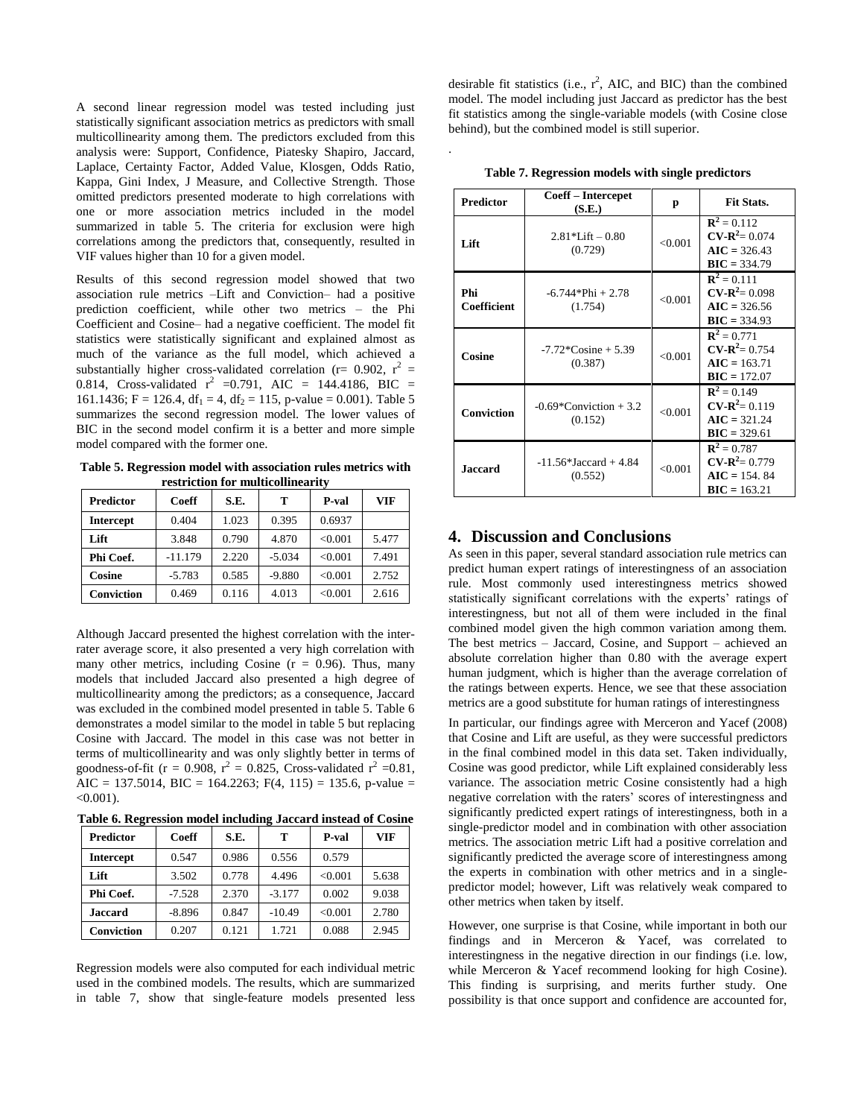A second linear regression model was tested including just statistically significant association metrics as predictors with small multicollinearity among them. The predictors excluded from this analysis were: Support, Confidence, Piatesky Shapiro, Jaccard, Laplace, Certainty Factor, Added Value, Klosgen, Odds Ratio, Kappa, Gini Index, J Measure, and Collective Strength. Those omitted predictors presented moderate to high correlations with one or more association metrics included in the model summarized in table 5. The criteria for exclusion were high correlations among the predictors that, consequently, resulted in VIF values higher than 10 for a given model.

Results of this second regression model showed that two association rule metrics –Lift and Conviction– had a positive prediction coefficient, while other two metrics – the Phi Coefficient and Cosine– had a negative coefficient. The model fit statistics were statistically significant and explained almost as much of the variance as the full model, which achieved a substantially higher cross-validated correlation ( $r = 0.902$ ,  $r^2 =$ 0.814, Cross-validated  $r^2$  =0.791, AIC = 144.4186, BIC = 161.1436; F = 126.4, df<sub>1</sub> = 4, df<sub>2</sub> = 115, p-value = 0.001). Table 5 summarizes the second regression model. The lower values of BIC in the second model confirm it is a better and more simple model compared with the former one.

**Table 5. Regression model with association rules metrics with restriction for multicollinearity**

| <b>Predictor</b>  | Coeff     | S.E.  | т        | P-val   | VIF   |
|-------------------|-----------|-------|----------|---------|-------|
| <b>Intercept</b>  | 0.404     | 1.023 | 0.395    | 0.6937  |       |
| Lift              | 3.848     | 0.790 | 4.870    | < 0.001 | 5.477 |
| Phi Coef.         | $-11.179$ | 2.220 | $-5.034$ | < 0.001 | 7.491 |
| Cosine            | $-5.783$  | 0.585 | $-9.880$ | < 0.001 | 2.752 |
| <b>Conviction</b> | 0.469     | 0.116 | 4.013    | < 0.001 | 2.616 |

Although Jaccard presented the highest correlation with the interrater average score, it also presented a very high correlation with many other metrics, including Cosine  $(r = 0.96)$ . Thus, many models that included Jaccard also presented a high degree of multicollinearity among the predictors; as a consequence, Jaccard was excluded in the combined model presented in table 5. Table 6 demonstrates a model similar to the model in table 5 but replacing Cosine with Jaccard. The model in this case was not better in terms of multicollinearity and was only slightly better in terms of goodness-of-fit ( $r = 0.908$ ,  $r^2 = 0.825$ , Cross-validated  $r^2 = 0.81$ , AIC = 137.5014, BIC = 164.2263; F(4, 115) = 135.6, p-value =  $<0.001$ ).

**Table 6. Regression model including Jaccard instead of Cosine**

| <b>Predictor</b> | Coeff    | S.E.  | т        | P-val   | VIF   |
|------------------|----------|-------|----------|---------|-------|
| <b>Intercept</b> | 0.547    | 0.986 | 0.556    | 0.579   |       |
| Lift             | 3.502    | 0.778 | 4.496    | < 0.001 | 5.638 |
| Phi Coef.        | $-7.528$ | 2.370 | $-3.177$ | 0.002   | 9.038 |
| <b>Jaccard</b>   | $-8.896$ | 0.847 | $-10.49$ | < 0.001 | 2.780 |
| Conviction       | 0.207    | 0.121 | 1.721    | 0.088   | 2.945 |

Regression models were also computed for each individual metric used in the combined models. The results, which are summarized in table 7, show that single-feature models presented less

desirable fit statistics (i.e.,  $r^2$ , AIC, and BIC) than the combined model. The model including just Jaccard as predictor has the best fit statistics among the single-variable models (with Cosine close behind), but the combined model is still superior.

| Predictor          | Coeff – Intercepet<br>(S.E.)         | р       | <b>Fit Stats.</b>                                                           |
|--------------------|--------------------------------------|---------|-----------------------------------------------------------------------------|
| Lift               | $2.81*$ Lift $-0.80$<br>(0.729)      | < 0.001 | ${\bf R}^2 = 0.112$<br>$CV-R^2 = 0.074$<br>$AIC = 326.43$<br>$BIC = 334.79$ |
| Phi<br>Coefficient | $-6.744*Phi + 2.78$<br>(1.754)       | < 0.001 | ${\bf R}^2 = 0.111$<br>$CV-R^2 = 0.098$<br>$AIC = 326.56$<br>$BIC = 334.93$ |
| Cosine             | $-7.72$ Cosine $+5.39$<br>(0.387)    | < 0.001 | ${\bf R}^2 = 0.771$<br>$CV-R^2 = 0.754$<br>$AIC = 163.71$<br>$BIC = 172.07$ |
| <b>Conviction</b>  | $-0.69$ *Conviction + 3.2<br>(0.152) | < 0.001 | ${\bf R}^2 = 0.149$<br>$CV-R^2 = 0.119$<br>$AIC = 321.24$<br>$BIC = 329.61$ |
| <b>Jaccard</b>     | $-11.56*Jaccard + 4.84$<br>(0.552)   | < 0.001 | ${\bf R}^2 = 0.787$<br>$CV-R^2 = 0.779$<br>$AIC = 154.84$<br>$BIC = 163.21$ |

**Table 7. Regression models with single predictors**

.

# **4. Discussion and Conclusions**

As seen in this paper, several standard association rule metrics can predict human expert ratings of interestingness of an association rule. Most commonly used interestingness metrics showed statistically significant correlations with the experts' ratings of interestingness, but not all of them were included in the final combined model given the high common variation among them. The best metrics – Jaccard, Cosine, and Support – achieved an absolute correlation higher than 0.80 with the average expert human judgment, which is higher than the average correlation of the ratings between experts. Hence, we see that these association metrics are a good substitute for human ratings of interestingness

In particular, our findings agree with Merceron and Yacef (2008) that Cosine and Lift are useful, as they were successful predictors in the final combined model in this data set. Taken individually, Cosine was good predictor, while Lift explained considerably less variance. The association metric Cosine consistently had a high negative correlation with the raters' scores of interestingness and significantly predicted expert ratings of interestingness, both in a single-predictor model and in combination with other association metrics. The association metric Lift had a positive correlation and significantly predicted the average score of interestingness among the experts in combination with other metrics and in a singlepredictor model; however, Lift was relatively weak compared to other metrics when taken by itself.

However, one surprise is that Cosine, while important in both our findings and in Merceron & Yacef, was correlated to interestingness in the negative direction in our findings (i.e. low, while Merceron & Yacef recommend looking for high Cosine). This finding is surprising, and merits further study. One possibility is that once support and confidence are accounted for,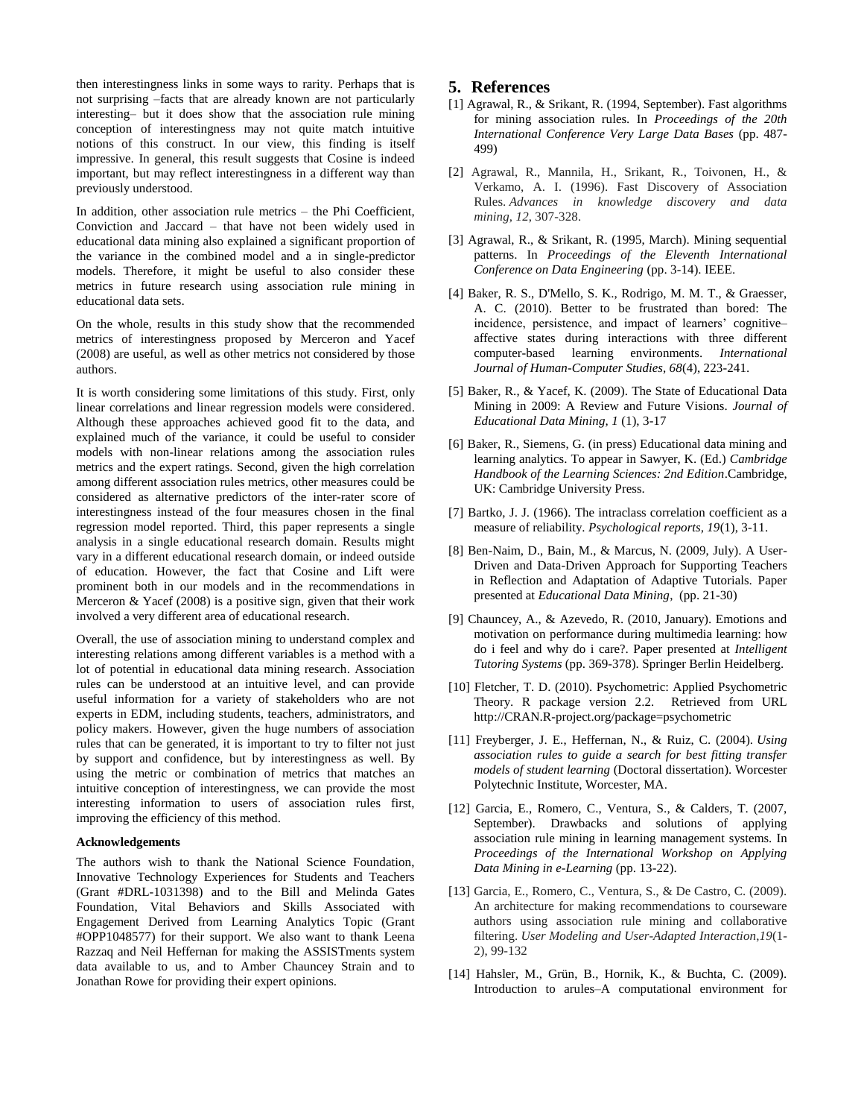then interestingness links in some ways to rarity. Perhaps that is not surprising –facts that are already known are not particularly interesting– but it does show that the association rule mining conception of interestingness may not quite match intuitive notions of this construct. In our view, this finding is itself impressive. In general, this result suggests that Cosine is indeed important, but may reflect interestingness in a different way than previously understood.

In addition, other association rule metrics – the Phi Coefficient, Conviction and Jaccard – that have not been widely used in educational data mining also explained a significant proportion of the variance in the combined model and a in single-predictor models. Therefore, it might be useful to also consider these metrics in future research using association rule mining in educational data sets.

On the whole, results in this study show that the recommended metrics of interestingness proposed by Merceron and Yacef (2008) are useful, as well as other metrics not considered by those authors.

It is worth considering some limitations of this study. First, only linear correlations and linear regression models were considered. Although these approaches achieved good fit to the data, and explained much of the variance, it could be useful to consider models with non-linear relations among the association rules metrics and the expert ratings. Second, given the high correlation among different association rules metrics, other measures could be considered as alternative predictors of the inter-rater score of interestingness instead of the four measures chosen in the final regression model reported. Third, this paper represents a single analysis in a single educational research domain. Results might vary in a different educational research domain, or indeed outside of education. However, the fact that Cosine and Lift were prominent both in our models and in the recommendations in Merceron & Yacef (2008) is a positive sign, given that their work involved a very different area of educational research.

Overall, the use of association mining to understand complex and interesting relations among different variables is a method with a lot of potential in educational data mining research. Association rules can be understood at an intuitive level, and can provide useful information for a variety of stakeholders who are not experts in EDM, including students, teachers, administrators, and policy makers. However, given the huge numbers of association rules that can be generated, it is important to try to filter not just by support and confidence, but by interestingness as well. By using the metric or combination of metrics that matches an intuitive conception of interestingness, we can provide the most interesting information to users of association rules first, improving the efficiency of this method.

#### **Acknowledgements**

The authors wish to thank the National Science Foundation, Innovative Technology Experiences for Students and Teachers (Grant #DRL-1031398) and to the Bill and Melinda Gates Foundation, Vital Behaviors and Skills Associated with Engagement Derived from Learning Analytics Topic (Grant #OPP1048577) for their support. We also want to thank Leena Razzaq and Neil Heffernan for making the ASSISTments system data available to us, and to Amber Chauncey Strain and to Jonathan Rowe for providing their expert opinions.

#### **5. References**

- [1] Agrawal, R., & Srikant, R. (1994, September). Fast algorithms for mining association rules. In *Proceedings of the 20th International Conference Very Large Data Bases* (pp. 487- 499)
- [2] Agrawal, R., Mannila, H., Srikant, R., Toivonen, H., & Verkamo, A. I. (1996). Fast Discovery of Association Rules. *Advances in knowledge discovery and data mining*, *12*, 307-328.
- [3] Agrawal, R., & Srikant, R. (1995, March). Mining sequential patterns. In *Proceedings of the Eleventh International Conference on Data Engineering* (pp. 3-14). IEEE.
- [4] Baker, R. S., D'Mello, S. K., Rodrigo, M. M. T., & Graesser, A. C. (2010). Better to be frustrated than bored: The incidence, persistence, and impact of learners' cognitive– affective states during interactions with three different computer-based learning environments. *International Journal of Human-Computer Studies, 68*(4), 223-241.
- [5] Baker, R., & Yacef, K. (2009). The State of Educational Data Mining in 2009: A Review and Future Visions. *Journal of Educational Data Mining, 1* (1), 3-17
- [6] Baker, R., Siemens, G. (in press) Educational data mining and learning analytics. To appear in Sawyer, K. (Ed.) *Cambridge Handbook of the Learning Sciences: 2nd Edition*.Cambridge, UK: Cambridge University Press.
- [7] Bartko, J. J. (1966). The intraclass correlation coefficient as a measure of reliability. *Psychological reports, 19*(1), 3-11.
- [8] Ben-Naim, D., Bain, M., & Marcus, N. (2009, July). A User-Driven and Data-Driven Approach for Supporting Teachers in Reflection and Adaptation of Adaptive Tutorials. Paper presented at *Educational Data Mining*, (pp. 21-30)
- [9] Chauncey, A., & Azevedo, R. (2010, January). Emotions and motivation on performance during multimedia learning: how do i feel and why do i care?. Paper presented at *Intelligent Tutoring Systems* (pp. 369-378). Springer Berlin Heidelberg.
- [10] Fletcher, T. D. (2010). Psychometric: Applied Psychometric Theory. R package version 2.2. Retrieved from URL http://CRAN.R-project.org/package=psychometric
- [11] Freyberger, J. E., Heffernan, N., & Ruiz, C. (2004). *Using association rules to guide a search for best fitting transfer models of student learning* (Doctoral dissertation). Worcester Polytechnic Institute, Worcester, MA.
- [12] Garcia, E., Romero, C., Ventura, S., & Calders, T. (2007, September). Drawbacks and solutions of applying association rule mining in learning management systems. In *Proceedings of the International Workshop on Applying Data Mining in e-Learning* (pp. 13-22).
- [13] Garcia, E., Romero, C., Ventura, S., & De Castro, C. (2009). An architecture for making recommendations to courseware authors using association rule mining and collaborative filtering. *User Modeling and User-Adapted Interaction*,*19*(1- 2), 99-132
- [14] Hahsler, M., Grün, B., Hornik, K., & Buchta, C. (2009). Introduction to arules–A computational environment for